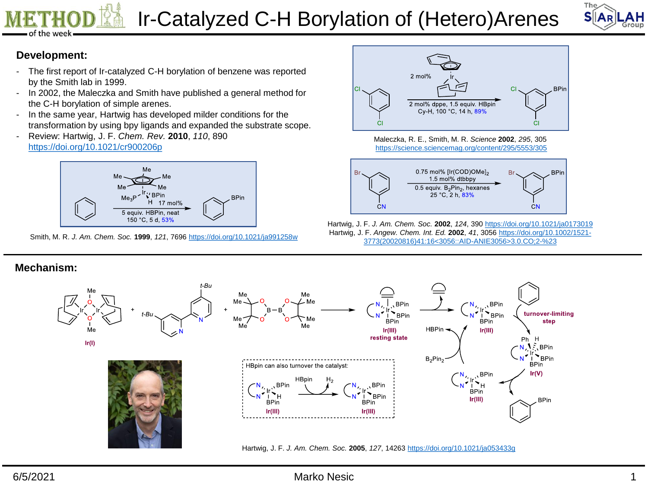



### **Development:**

- The first report of Ir-catalyzed C-H borylation of benzene was reported by the Smith lab in 1999.
- In 2002, the Maleczka and Smith have published a general method for the C-H borylation of simple arenes.
- In the same year, Hartwig has developed milder conditions for the transformation by using bpy ligands and expanded the substrate scope.
- Review: Hartwig, J. F. *Chem. Rev.* **2010**, *110*, 890 <https://doi.org/10.1021/cr900206p>



Smith, M. R. *J. Am. Chem. Soc.* **1999**, *121*, 7696 <https://doi.org/10.1021/ja991258w>



Maleczka, R. E., Smith, M. R. *Science* **2002**, *295*, 305 <https://science.sciencemag.org/content/295/5553/305>



Hartwig, J. F. *J. Am. Chem. Soc.* **2002**, *124*, 390 <https://doi.org/10.1021/ja0173019> Hartwig, J. F. *Angew. Chem. Int. Ed.* **2002**, *41*, 3056 https://doi.org/10.1002/1521- [3773\(20020816\)41:16<3056::AID-ANIE3056>3.0.CO;2-%23](https://doi.org/10.1002/1521-3773(20020816)41:16<3056::AID-ANIE3056>3.0.CO;2-)

. BPin  $\mathbf{P}_{\mathsf{BPin}}$ 

**BPin** 

 $lr(III)$ 

, BPin

**BPin**  $lr(III)$  turnover-limiting

step

**BPin**  $\mathbf{P}_{\text{BPin}}$ 

**BPin** 

**BPin** 

 $lr(V)$ 

Ph  $H$ 

### **Mechanism:**



Hartwig, J. F. *J. Am. Chem. Soc.* **2005**, *127*, 14263 <https://doi.org/10.1021/ja053433g>

### 6/5/2021 Marko Nesic 1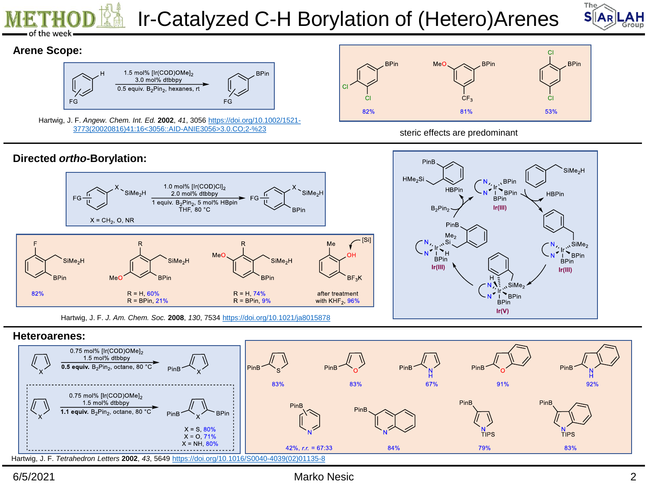



## **Arene Scope:**



Hartwig, J. F. *Angew. Chem. Int. Ed.* **2002**, *41*, 3056 https://doi.org/10.1002/1521- [3773\(20020816\)41:16<3056::AID-ANIE3056>3.0.CO;2-%23](https://doi.org/10.1002/1521-3773(20020816)41:16<3056::AID-ANIE3056>3.0.CO;2-)



### steric effects are predominant



Hartwig, J. F. *J. Am. Chem. Soc.* **2008**, *130*, 7534<https://doi.org/10.1021/ja8015878>





## 6/5/2021 Marko Nesic 2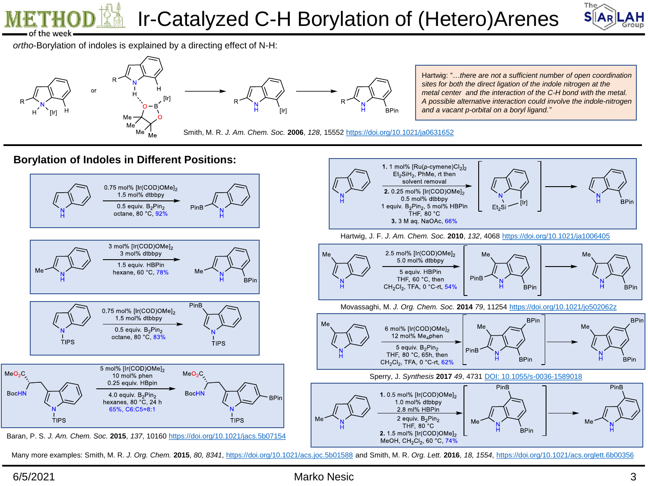



Hartwig: "…*there are not a sufficient number of open coordination sites for both the direct ligation of the indole nitrogen at the metal center and the interaction of the C-H bond with the metal. A possible alternative interaction could involve the indole-nitrogen* 

*and a vacant p-orbital on a boryl ligand."*

*ortho*-Borylation of indoles is explained by a directing effect of N-H:





Smith, M. R. *J. Am. Chem. Soc.* **2006**, *128*, 15552 <https://doi.org/10.1021/ja0631652>

**Borylation of Indoles in Different Positions:**



Many more examples: Smith, M. R. J. Org. Chem. 2015, 80, 8341,<https://doi.org/10.1021/acs.joc.5b01588> and Smith, M. R. Org. Lett. 2016, 18, 1554,<https://doi.org/10.1021/acs.orglett.6b00356>

### 6/5/2021 Marko Nesic 3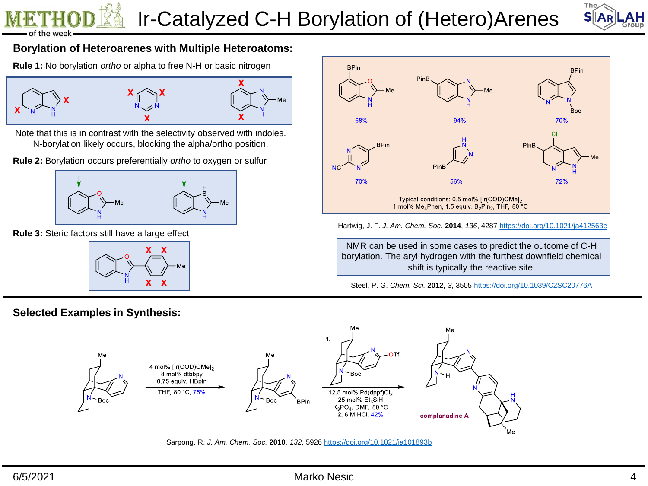

## **Borylation of Heteroarenes with Multiple Heteroatoms:**

**Rule 1:** No borylation *ortho* or alpha to free N-H or basic nitrogen



Note that this is in contrast with the selectivity observed with indoles. N-borylation likely occurs, blocking the alpha/ortho position.

**Rule 2:** Borylation occurs preferentially *ortho* to oxygen or sulfur



**Rule 3:** Steric factors still have a large effect



**Selected Examples in Synthesis:**



### Hartwig, J. F. *J. Am. Chem. Soc.* **2014**, *136*, 4287 <https://doi.org/10.1021/ja412563e>

NMR can be used in some cases to predict the outcome of C-H borylation. The aryl hydrogen with the furthest downfield chemical shift is typically the reactive site.

Steel, P. G. *Chem. Sci.* **2012**, *3*, 3505 <https://doi.org/10.1039/C2SC20776A>



Sarpong, R. *J. Am. Chem. Soc.* **2010**, *132*, 5926 <https://doi.org/10.1021/ja101893b>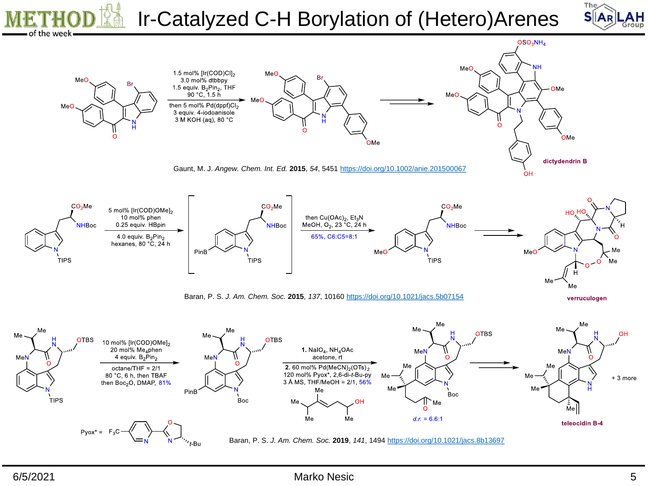

 $MeO$ 

1.5 mol% [Ir(COD)CI]2

MeC



Baran, P. S. *J. Am. Chem. Soc.* **2015**, *137*, 10160 <https://doi.org/10.1021/jacs.5b07154>

verruculogen



ΑH Group